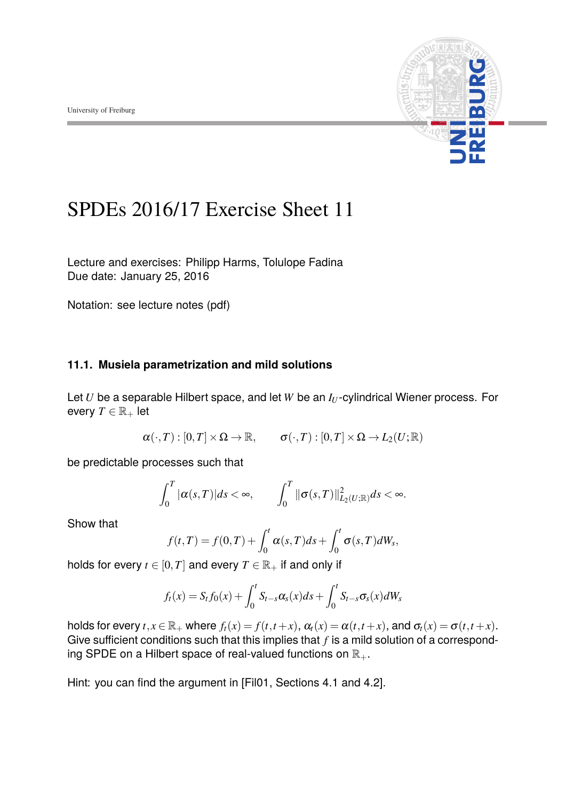

# SPDEs 2016/17 Exercise Sheet 11

Lecture and exercises: [Philipp Harms,](philipp.harms@stochastik.uni-freiburg.de) [Tolulope Fadina](tolulope.fadina@stochastik.uni-freiburg.de) Due date: January 25, 2016

Notation: see lecture notes [\(pdf\)](https://www.stochastik.uni-freiburg.de/lehre/ws-2016-17/vorlesung-stochastic-partial-eifferential-equation-ws-2016-17/spdes)

## **11.1. Musiela parametrization and mild solutions**

Let  $U$  be a separable Hilbert space, and let  $W$  be an  $I_U$ -cylindrical Wiener process. For every  $T \in \mathbb{R}_+$  let

$$
\alpha(\cdot,T):[0,T]\times\Omega\to\mathbb{R},\qquad \sigma(\cdot,T):[0,T]\times\Omega\to L_2(U;\mathbb{R})
$$

be predictable processes such that

$$
\int_0^T |\alpha(s,T)|ds < \infty, \qquad \int_0^T \|\sigma(s,T)\|_{L_2(U;\mathbb{R})}^2 ds < \infty.
$$

Show that

$$
f(t,T) = f(0,T) + \int_0^t \alpha(s,T)ds + \int_0^t \sigma(s,T)dW_s,
$$

holds for every  $t \in [0, T]$  and every  $T \in \mathbb{R}_+$  if and only if

$$
f_t(x) = S_t f_0(x) + \int_0^t S_{t-s} \alpha_s(x) ds + \int_0^t S_{t-s} \sigma_s(x) dW_s
$$

holds for every  $t, x \in \mathbb{R}_+$  where  $f_t(x) = f(t, t + x)$ ,  $\alpha_t(x) = \alpha(t, t + x)$ , and  $\sigma_t(x) = \sigma(t, t + x)$ . Give sufficient conditions such that this implies that  $f$  is a mild solution of a corresponding SPDE on a Hilbert space of real-valued functions on  $\mathbb{R}_+$ .

Hint: you can find the argument in [Fil01, Sections 4.1 and 4.2].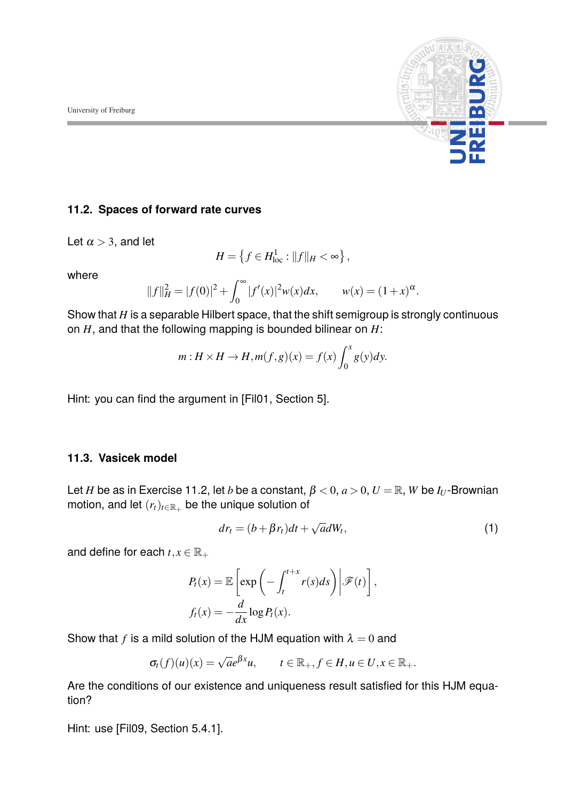

#### **11.2. Spaces of forward rate curves**

Let  $\alpha$  > 3, and let

$$
H = \left\{ f \in H_{\text{loc}}^1 : ||f||_H < \infty \right\},\
$$

where

$$
||f||_H^2 = |f(0)|^2 + \int_0^\infty |f'(x)|^2 w(x) dx, \qquad w(x) = (1+x)^\alpha.
$$

Show that *H* is a separable Hilbert space, that the shift semigroup is strongly continuous on *H*, and that the following mapping is bounded bilinear on *H*:

$$
m: H \times H \to H, m(f, g)(x) = f(x) \int_0^x g(y) dy.
$$

Hint: you can find the argument in [Fil01, Section 5].

### **11.3. Vasicek model**

Let *H* be as in Exercise 11.2, let *b* be a constant,  $\beta < 0$ ,  $a > 0$ ,  $U = \mathbb{R}$ , *W* be *I<sub>U</sub>*-Brownian motion, and let  $(r_t)_{t \in \mathbb{R}_+}$  be the unique solution of

$$
dr_t = (b + \beta r_t)dt + \sqrt{a}dW_t,
$$
\n(1)

and define for each  $t, x \in \mathbb{R}_+$ 

$$
P_t(x) = \mathbb{E}\left[\exp\left(-\int_t^{t+x} r(s)ds\right) \middle| \mathcal{F}(t)\right],
$$
  

$$
f_t(x) = -\frac{d}{dx}\log P_t(x).
$$

Show that *f* is a mild solution of the HJM equation with  $\lambda = 0$  and

$$
\sigma_t(f)(u)(x) = \sqrt{a}e^{\beta x}u, \qquad t \in \mathbb{R}_+, f \in H, u \in U, x \in \mathbb{R}_+.
$$

Are the conditions of our existence and uniqueness result satisfied for this HJM equation?

Hint: use [Fil09, Section 5.4.1].